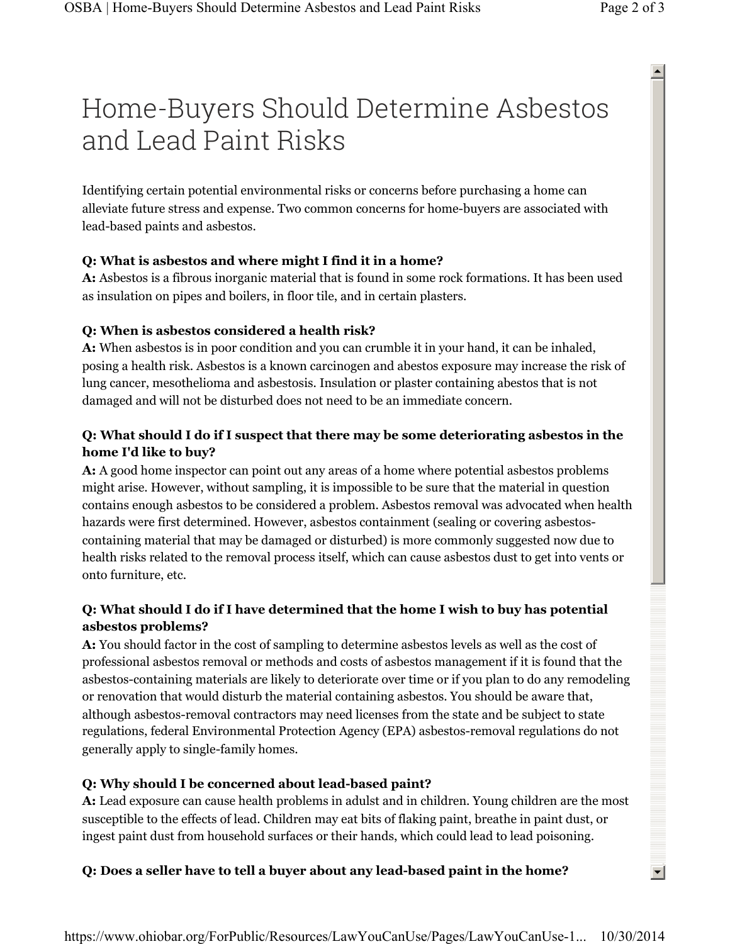# Home-Buyers Should Determine Asbestos and Lead Paint Risks

 $\blacktriangle$ 

 $\left| \cdot \right|$ 

Identifying certain potential environmental risks or concerns before purchasing a home can alleviate future stress and expense. Two common concerns for home-buyers are associated with lead-based paints and asbestos.

#### **Q: What is asbestos and where might I find it in a home?**

**A:** Asbestos is a fibrous inorganic material that is found in some rock formations. It has been used as insulation on pipes and boilers, in floor tile, and in certain plasters.

### **Q: When is asbestos considered a health risk?**

**A:** When asbestos is in poor condition and you can crumble it in your hand, it can be inhaled, posing a health risk. Asbestos is a known carcinogen and abestos exposure may increase the risk of lung cancer, mesothelioma and asbestosis. Insulation or plaster containing abestos that is not damaged and will not be disturbed does not need to be an immediate concern.

## **Q: What should I do if I suspect that there may be some deteriorating asbestos in the home I'd like to buy?**

**A:** A good home inspector can point out any areas of a home where potential asbestos problems might arise. However, without sampling, it is impossible to be sure that the material in question contains enough asbestos to be considered a problem. Asbestos removal was advocated when health hazards were first determined. However, asbestos containment (sealing or covering asbestoscontaining material that may be damaged or disturbed) is more commonly suggested now due to health risks related to the removal process itself, which can cause asbestos dust to get into vents or onto furniture, etc.

### **Q: What should I do if I have determined that the home I wish to buy has potential asbestos problems?**

**A:** You should factor in the cost of sampling to determine asbestos levels as well as the cost of professional asbestos removal or methods and costs of asbestos management if it is found that the asbestos-containing materials are likely to deteriorate over time or if you plan to do any remodeling or renovation that would disturb the material containing asbestos. You should be aware that, although asbestos-removal contractors may need licenses from the state and be subject to state regulations, federal Environmental Protection Agency (EPA) asbestos-removal regulations do not generally apply to single-family homes.

### **Q: Why should I be concerned about lead-based paint?**

**A:** Lead exposure can cause health problems in adulst and in children. Young children are the most susceptible to the effects of lead. Children may eat bits of flaking paint, breathe in paint dust, or ingest paint dust from household surfaces or their hands, which could lead to lead poisoning.

### **Q: Does a seller have to tell a buyer about any lead-based paint in the home?**